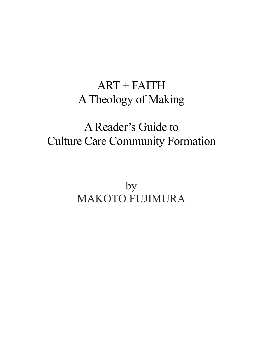# ART + FAITH ATheology of Making

# A Reader's Guide to Culture Care Community Formation

by MAKOTO FUJIMURA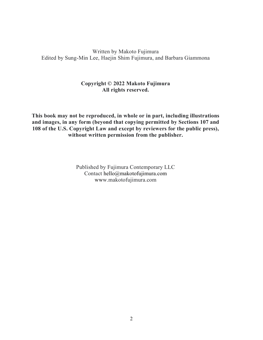# Written by Makoto Fujimura Edited by Sung-Min Lee, Haejin Shim Fujimura, and Barbara Giammona

# **Copyright © 2022 Makoto Fujimura All rights reserved.**

**This book may not be reproduced, in whole or in part, including illustrations and images, in any form (beyond that copying permitted by Sections 107 and 108 of the U.S. Copyright Law and except by reviewers for the public press), without written permission from the publisher.**

> Published by Fujimura Contemporary LLC Contact hello@makotofujimura.com www.makotofujimura.com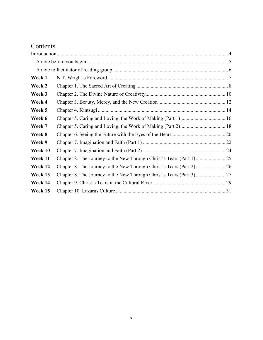# Contents

| Week 1  |                                                                      |  |
|---------|----------------------------------------------------------------------|--|
| Week 2  |                                                                      |  |
| Week 3  |                                                                      |  |
| Week 4  |                                                                      |  |
| Week 5  |                                                                      |  |
| Week 6  |                                                                      |  |
| Week 7  |                                                                      |  |
| Week 8  |                                                                      |  |
| Week 9  |                                                                      |  |
| Week 10 |                                                                      |  |
| Week 11 | Chapter 8. The Journey to the New Through Christ's Tears (Part 1) 25 |  |
| Week 12 |                                                                      |  |
| Week 13 |                                                                      |  |
| Week 14 |                                                                      |  |
| Week 15 |                                                                      |  |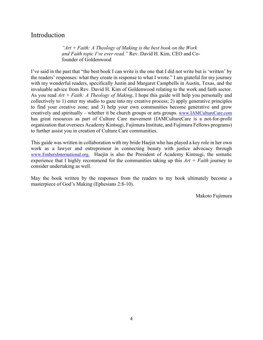# Introduction

*"Art + Faith: A Theology of Making is the best book on the Work and Faith topic I've ever read."* Rev. David H. Kim, CEO and Cofounder of Goldenwood

I've said in the past that "the best book I can write is the one that I did not write but is 'written' by the readers' responses: what they create in response to what I wrote." I am grateful for my journey with my wonderful readers, specifically Justin and Margaret Campbells in Austin, Texas, and the invaluable advice from Rev. David H. Kim of Goldenwood relating to the work and faith sector. As you read *Art + Faith: A Theology of Making*, I hope this guide will help you personally and collectively to 1) enter my studio to gaze into my creative process; 2) apply generative principles to find your creative zone; and 3) help your own communities become generative and grow creatively and spiritually – whether it be church groups or arts groups. www.IAMCultureCare.com has great resources as part of Culture Care movement (IAMCultureCare is a not-for-profit organization that oversees Academy Kintsugi, Fujimura Institute, and Fujimura Fellows programs) to further assist you in creation of Culture Care communities.

This guide was written in collaboration with my bride Haejin who has played a key role in her own work as a lawyer and entrepreneur in connecting beauty with justice advocacy through www.EmbersInternational.org. Haejin is also the President of Academy Kintsugi, the somatic experience that I highly recommend for the communities taking up this *Art + Faith* journey to consider undertaking as well.

May the book written by the responses from the readers to my book ultimately become a masterpiece of God's Making (Ephesians 2:8-10).

Makoto Fujimura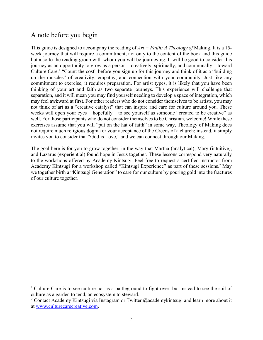# A note before you begin

This guide is designed to accompany the reading of *Art + Faith: A Theology of* Making. It is a 15 week journey that will require a commitment, not only to the content of the book and this guide but also to the reading group with whom you will be journeying. It will be good to consider this journey as an opportunity to grow as a person – creatively, spiritually, and communally – toward Culture Care.1 "Count the cost" before you sign up for this journey and think of it as a "building up the muscles" of creativity, empathy, and connection with your community. Just like any commitment to exercise, it requires preparation. For artist types, it is likely that you have been thinking of your art and faith as two separate journeys. This experience will challenge that separation, and it will mean you may find yourself needing to develop a space of integration, which may feel awkward at first. For other readers who do not consider themselves to be artists, you may not think of art as a "creative catalyst" that can inspire and care for culture around you. These weeks will open your eyes – hopefully – to see yourself as someone "created to be creative" as well. For those participants who do not consider themselves to be Christian, welcome! While these exercises assume that you will "put on the hat of faith" in some way, Theology of Making does not require much religious dogma or your acceptance of the Creeds of a church; instead, it simply invites you to consider that "God is Love," and we can connect through our Making.

The goal here is for you to grow together, in the way that Martha (analytical), Mary (intuitive), and Lazarus (experiential) found hope in Jesus together. These lessons correspond very naturally to the workshops offered by Academy Kintsugi. Feel free to request a certified instructor from Academy Kintsugi for a workshop called "Kintsugi Experience" as part of these sessions.<sup>2</sup> May we together birth a "Kintsugi Generation" to care for our culture by pouring gold into the fractures of our culture together.

<sup>&</sup>lt;sup>1</sup> Culture Care is to see culture not as a battleground to fight over, but instead to see the soil of culture as a garden to tend, an ecosystem to steward.

<sup>&</sup>lt;sup>2</sup> Contact Academy Kintsugi via Instagram or Twitter @academykintsugi and learn more about it at www.culturecarecreative.com.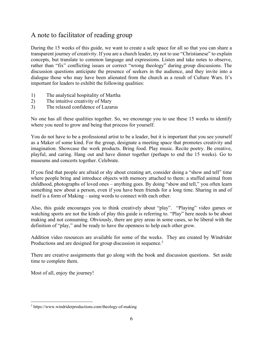# A note to facilitator of reading group

During the 15 weeks of this guide, we want to create a safe space for all so that you can share a transparent journey of creativity. If you are a church leader, try not to use "Christianese" to explain concepts, but translate to common language and expressions. Listen and take notes to observe, rather than "fix" conflicting issues or correct "wrong theology" during group discussions. The discussion questions anticipate the presence of seekers in the audience, and they invite into a dialogue those who may have been alienated from the church as a result of Culture Wars. It's important for leaders to exhibit the following qualities:

- 1) The analytical hospitality of Martha
- 2) The intuitive creativity of Mary
- 3) The relaxed confidence of Lazarus

No one has all these qualities together. So, we encourage you to use these 15 weeks to identify where you need to grow and being that process for yourself.

You do not have to be a professional artist to be a leader, but it is important that you see yourself as a Maker of some kind. For the group, designate a meeting space that promotes creativity and imagination. Showcase the work products. Bring food. Play music. Recite poetry. Be creative, playful, and caring. Hang out and have dinner together (perhaps to end the 15 weeks). Go to museums and concerts together. Celebrate.

If you find that people are afraid or shy about creating art, consider doing a "show and tell" time where people bring and introduce objects with memory attached to them: a stuffed animal from childhood, photographs of loved ones – anything goes. By doing "show and tell," you often learn something new about a person, even if you have been friends for a long time. Sharing in and of itself is a form of Making – using words to connect with each other.

Also, this guide encourages you to think creatively about "play". "Playing" video games or watching sports are not the kinds of play this guide is referring to. "Play" here needs to be about making and not consuming. Obviously, there are grey areas in some cases, so be liberal with the definition of "play," and be ready to have the openness to help each other grow.

Addition video resources are available for some of the weeks. They are created by Windrider Productions and are designed for group discussion in sequence.<sup>3</sup>

There are creative assignments that go along with the book and discussion questions. Set aside time to complete them.

Most of all, enjoy the journey!

<sup>3</sup> https://www.windriderproductions.com/theology-of-making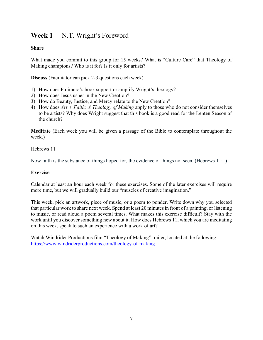# **Week 1** N.T. Wright's Foreword

## **Share**

What made you commit to this group for 15 weeks? What is "Culture Care" that Theology of Making champions? Who is it for? Is it only for artists?

**Discuss** (Facilitator can pick 2-3 questions each week)

- 1) How does Fujimura's book support or amplify Wright's theology?
- 2) How does Jesus usher in the New Creation?
- 3) How do Beauty, Justice, and Mercy relate to the New Creation?
- 4) How does *Art + Faith: A Theology of Making* apply to those who do not consider themselves to be artists? Why does Wright suggest that this book is a good read for the Lenten Season of the church?

**Meditate** (Each week you will be given a passage of the Bible to contemplate throughout the week.)

## Hebrews 11

Now faith is the substance of things hoped for, the evidence of things not seen. (Hebrews 11:1)

#### **Exercise**

Calendar at least an hour each week for these exercises. Some of the later exercises will require more time, but we will gradually build our "muscles of creative imagination."

This week, pick an artwork, piece of music, or a poem to ponder. Write down why you selected that particular work to share next week. Spend at least 20 minutes in front of a painting, or listening to music, or read aloud a poem several times. What makes this exercise difficult? Stay with the work until you discover something new about it. How does Hebrews 11, which you are meditating on this week, speak to such an experience with a work of art?

Watch Windrider Productions film "Theology of Making" trailer, located at the following: https://www.windriderproductions.com/theology-of-making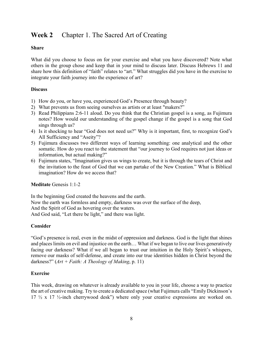# **Week 2** Chapter 1. The Sacred Art of Creating

#### **Share**

What did you choose to focus on for your exercise and what you have discovered? Note what others in the group chose and keep that in your mind to discuss later. Discuss Hebrews 11 and share how this definition of "faith" relates to "art." What struggles did you have in the exercise to integrate your faith journey into the experience of art?

## **Discuss**

- 1) How do you, or have you, experienced God's Presence through beauty?
- 2) What prevents us from seeing ourselves as artists or at least "makers?"
- 3) Read Philippians 2:6-11 aloud. Do you think that the Christian gospel is a song, as Fujimura notes? How would our understanding of the gospel change if the gospel is a song that God sings through us?
- 4) Is it shocking to hear "God does not need us?" Why is it important, first, to recognize God's All Sufficiency and "Aseity"?
- 5) Fujimura discusses two different ways of learning something: one analytical and the other somatic. How do you react to the statement that "our journey to God requires not just ideas or information, but actual making?"
- 6) Fujimura states, "Imagination gives us wings to create, but it is through the tears of Christ and the invitation to the feast of God that we can partake of the New Creation." What is Biblical imagination? How do we access that?

## **Meditate** Genesis 1:1-2

In the beginning God created the heavens and the earth. Now the earth was formless and empty, darkness was over the surface of the deep, And the Spirit of God as hovering over the waters. And God said, "Let there be light," and there was light.

## **Consider**

"God's presence is real, even in the midst of oppression and darkness. God is the light that shines and places limits on evil and injustice on the earth... What if we began to live our lives generatively facing our darkness? What if we all began to trust our intuition in the Holy Spirit's whispers, remove our masks of self-defense, and create into our true identities hidden in Christ beyond the darkness?"  $(Art + Faith: A Theology of Making, p. 11)$ 

## **Exercise**

This week, drawing on whatever is already available to you in your life, choose a way to practice the art of creative making. Try to create a dedicated space (what Fujimura calls "Emily Dickinson's 17 ½ x 17 ½-inch cherrywood desk") where only your creative expressions are worked on.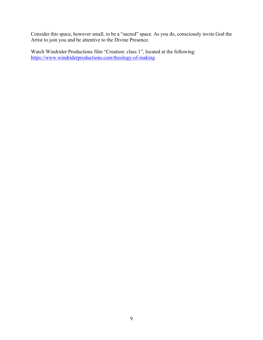Consider this space, however small, to be a "sacred" space. As you do, consciously invite God the Artist to join you and be attentive to the Divine Presence.

Watch Windrider Productions film "Creation: class 1", located at the following: https://www.windriderproductions.com/theology-of-making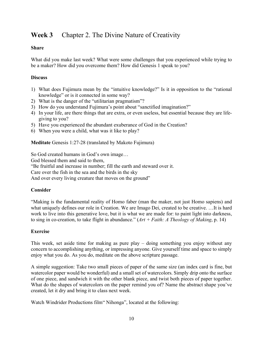# **Week 3** Chapter 2. The Divine Nature of Creativity

## **Share**

What did you make last week? What were some challenges that you experienced while trying to be a maker? How did you overcome them? How did Genesis 1 speak to you?

# **Discuss**

- 1) What does Fujimura mean by the "intuitive knowledge?" Is it in opposition to the "rational knowledge" or is it connected in some way?
- 2) What is the danger of the "utilitarian pragmatism"?
- 3) How do you understand Fujimura's point about "sanctified imagination?"
- 4) In your life, are there things that are extra, or even useless, but essential because they are lifegiving to you?
- 5) Have you experienced the abundant exuberance of God in the Creation?
- 6) When you were a child, what was it like to play?

**Meditate** Genesis 1:27-28 (translated by Makoto Fujimura)

So God created humans in God's own image…

God blessed them and said to them,

"Be fruitful and increase in number; fill the earth and steward over it.

Care over the fish in the sea and the birds in the sky

And over every living creature that moves on the ground"

# **Consider**

"Making is the fundamental reality of Homo faber (man the maker, not just Homo sapiens) and what uniquely defines our role in Creation. We are Imago Dei, created to be creative. …It is hard work to live into this generative love, but it is what we are made for: to paint light into darkness, to sing in co-creation, to take flight in abundance."  $(Art + Faith: A Theology of Making, p. 14)$ 

# **Exercise**

This week, set aside time for making as pure play – doing something you enjoy without any concern to accomplishing anything, or impressing anyone. Give yourself time and space to simply enjoy what you do. As you do, meditate on the above scripture passage.

A simple suggestion: Take two small pieces of paper of the same size (an index card is fine, but watercolor paper would be wonderful) and a small set of watercolors. Simply drip onto the surface of one piece, and sandwich it with the other blank piece, and twist both pieces of paper together. What do the shapes of watercolors on the paper remind you of? Name the abstract shape you've created, let it dry and bring it to class next week.

Watch Windrider Productions film" Nihonga", located at the following: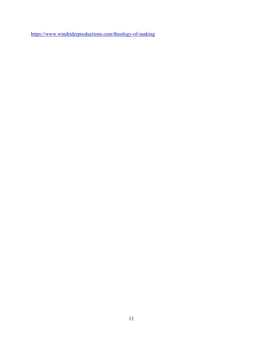https://www.windriderproductions.com/theology-of-making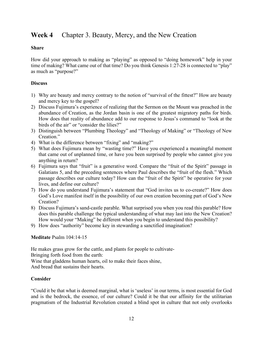# **Week 4** Chapter 3. Beauty, Mercy, and the New Creation

#### **Share**

How did your approach to making as "playing" as opposed to "doing homework" help in your time of making? What came out of that time? Do you think Genesis 1:27-28 is connected to "play" as much as "purpose?"

#### **Discuss**

- 1) Why are beauty and mercy contrary to the notion of "survival of the fittest?" How are beauty and mercy key to the gospel?
- 2) Discuss Fujimura's experience of realizing that the Sermon on the Mount was preached in the abundance of Creation, as the Jordan basin is one of the greatest migratory paths for birds. How does that reality of abundance add to our response to Jesus's command to "look at the birds of the air" or "consider the lilies?"
- 3) Distinguish between "Plumbing Theology" and "Theology of Making" or "Theology of New Creation."
- 4) What is the difference between "fixing" and "making?"
- 5) What does Fujimura mean by "wasting time?" Have you experienced a meaningful moment that came out of unplanned time, or have you been surprised by people who cannot give you anything in return?
- 6) Fujimura says that "fruit" is a generative word. Compare the "fruit of the Spirit" passage in Galatians 5, and the preceding sentences where Paul describes the "fruit of the flesh." Which passage describes our culture today? How can the "fruit of the Spirit" be operative for your lives, and define our culture?
- 7) How do you understand Fujimura's statement that "God invites us to co-create?" How does God's Love manifest itself in the possibility of our own creation becoming part of God's New Creation?
- 8) Discuss Fujimura's sand-castle parable. What surprised you when you read this parable? How does this parable challenge the typical understanding of what may last into the New Creation? How would your "Making" be different when you begin to understand this possibility?
- 9) How does "authority" become key in stewarding a sanctified imagination?

## **Meditate** Psalm 104:14-15

He makes grass grow for the cattle, and plants for people to cultivate-Bringing forth food from the earth: Wine that gladdens human hearts, oil to make their faces shine, And bread that sustains their hearts.

#### **Consider**

"Could it be that what is deemed marginal, what is 'useless' in our terms, is most essential for God and is the bedrock, the essence, of our culture? Could it be that our affinity for the utilitarian pragmatism of the Industrial Revolution created a blind spot in culture that not only overlooks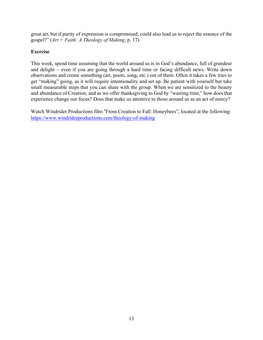great art, but if purity of expression is compromised, could also lead us to reject the essence of the gospel?"  $(Art + Faith: A Theology of Making, p. 17)$ 

## **Exercise**

This week, spend time assuming that the world around us is in God's abundance, full of grandeur and delight – even if you are going through a hard time or facing difficult news. Write down observations and create something (art, poem, song, etc.) out of them. Often it takes a few tries to get "making" going, as it will require intentionality and set up. Be patient with yourself but take small measurable steps that you can share with the group. When we are sensitized to the beauty and abundance of Creation, and as we offer thanksgiving to God by "wasting time," how does that experience change our focus? Does that make us attentive to those around us as an act of mercy?

Watch Windrider Productions film "From Creation to Fall: Honeybees", located at the following: https://www.windriderproductions.com/theology-of-making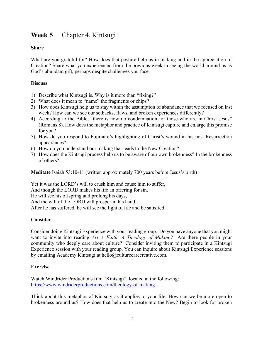# **Week 5** Chapter 4. Kintsugi

# **Share**

What are you grateful for? How does that posture help us in making and in the appreciation of Creation? Share what you experienced from the previous week in seeing the world around us as God's abundant gift, perhaps despite challenges you face.

# **Discuss**

- 1) Describe what Kintsugi is. Why is it more than "fixing?"
- 2) What does it mean to "name" the fragments or chips?
- 3) How does Kintsugi help us to stay within the assumption of abundance that we focused on last week? How can we see our setbacks, flaws, and broken experiences differently?
- 4) According to the Bible, "there is now no condemnation for those who are in Christ Jesus" (Romans 8). How does the metaphor and practice of Kintsugi capture and enlarge this promise for you?
- 5) How do you respond to Fujimura's highlighting of Christ's wound in his post-Resurrection appearances?
- 6) How do you understand our making that leads to the New Creation?
- 7) How does the Kintsugi process help us to be aware of our own brokenness? In the brokenness of others?

**Meditate** Isaiah 53:10-11 (written approximately 700 years before Jesus's birth)

Yet it was the LORD's will to crush him and cause him to suffer, And though the LORD makes his life an offering for sin, He will see his offspring and prolong his days, And the will of the LORD will prosper in his hand. After he has suffered, he will see the light of life and be satisfied.

# **Consider**

Consider doing Kintsugi Experience with your reading group. Do you have anyone that you might want to invite into reading *Art + Faith: A Theology of Making*? Are there people in your community who deeply care about culture? Consider inviting them to participate in a Kintsugi Experience session with your reading group. You can inquire about Kintsugi Experience sessions by emailing Academy Kintsugi at hello@culturecarecreative.com.

# **Exercise**

Watch Windrider Productions film "Kintsugi", located at the following: https://www.windriderproductions.com/theology-of-making

Think about this metaphor of Kintsugi as it applies to your life. How can we be more open to brokenness around us? How does that help us to create into the New? Begin to look for broken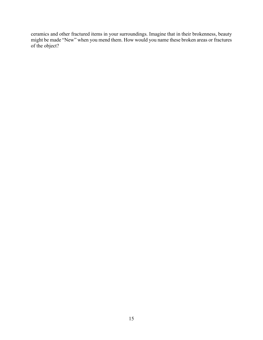ceramics and other fractured items in your surroundings. Imagine that in their brokenness, beauty might be made "New" when you mend them. How would you name these broken areas or fractures of the object?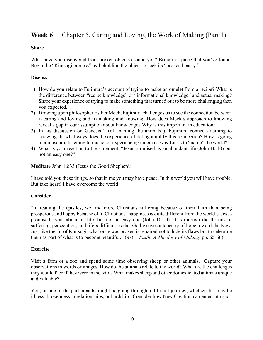# **Week 6** Chapter 5. Caring and Loving, the Work of Making (Part 1)

#### **Share**

What have you discovered from broken objects around you? Bring in a piece that you've found. Begin the "Kintsugi process" by beholding the object to seek its "broken beauty."

## **Discuss**

- 1) How do you relate to Fujimura's account of trying to make an omelet from a recipe? What is the difference between "recipe knowledge" or "informational knowledge" and actual making? Share your experience of trying to make something that turned out to be more challenging than you expected.
- 2) Drawing upon philosopher Esther Meek, Fujimura challenges us to see the connection between i) caring and loving and ii) making and knowing. How does Meek's approach to knowing reveal a gap in our assumption about knowledge? Why is this important in education?
- 3) In his discussion on Genesis 2 (of "naming the animals"), Fujimura connects naming to knowing. In what ways does the experience of dating amplify this connection? How is going to a museum, listening to music, or experiencing cinema a way for us to "name" the world?
- 4) What is your reaction to the statement: "Jesus promised us an abundant life (John 10:10) but not an easy one?"

**Meditate** John 16:33 (Jesus the Good Shepherd)

I have told you these things, so that in me you may have peace. In this world you will have trouble. But take heart! I have overcome the world!

## **Consider**

"In reading the epistles, we find more Christians suffering because of their faith than being prosperous and happy because of it. Christians' happinessis quite different from the world's. Jesus promised us an abundant life, but not an easy one (John 10:10). It is through the threads of suffering, persecution, and life's difficulties that God weaves a tapestry of hope toward the New. Just like the art of Kintsugi, what once was broken is repaired not to hide its flaws but to celebrate them as part of what is to become beautiful."  $(Art + Faith: A Theology of Making, pp. 65-66)$ 

## **Exercise**

Visit a farm or a zoo and spend some time observing sheep or other animals. Capture your observations in words or images. How do the animals relate to the world? What are the challenges they would face if they were in the wild? What makes sheep and other domesticated animals unique and valuable?

You, or one of the participants, might be going through a difficult journey, whether that may be illness, brokenness in relationships, or hardship. Consider how New Creation can enter into such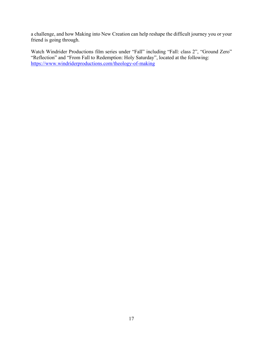a challenge, and how Making into New Creation can help reshape the difficult journey you or your friend is going through.

Watch Windrider Productions film series under "Fall" including "Fall: class 2", "Ground Zero" "Reflection" and "From Fall to Redemption: Holy Saturday", located at the following: https://www.windriderproductions.com/theology-of-making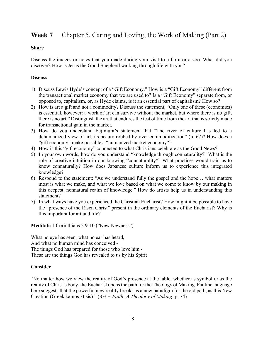# **Week 7** Chapter 5. Caring and Loving, the Work of Making (Part 2)

#### **Share**

Discuss the images or notes that you made during your visit to a farm or a zoo. What did you discover? How is Jesus the Good Shepherd walking through life with you?

#### **Discuss**

- 1) Discuss Lewis Hyde's concept of a "Gift Economy." How is a "Gift Economy" different from the transactional market economy that we are used to? Is a "Gift Economy" separate from, or opposed to, capitalism, or, as Hyde claims, is it an essential part of capitalism? How so?
- 2) How is art a gift and not a commodity? Discuss the statement, "Only one of these (economies) is essential, however: a work of art can survive without the market, but where there is no gift, there is no art." Distinguish the art that endures the test of time from the art that is strictly made for transactional gain in the market.
- 3) How do you understand Fujimura's statement that "The river of culture has led to a dehumanized view of art, its beauty robbed by over-commoditization" (p. 67)? How does a "gift economy" make possible a "humanized market economy?"
- 4) How is this "gift economy" connected to what Christians celebrate as the Good News?
- 5) In your own words, how do you understand "knowledge through connaturality?" What is the role of creative intuition in our knowing "connaturality?" What practices would train us to know connaturally? How does Japanese culture inform us to experience this integrated knowledge?
- 6) Respond to the statement: "As we understand fully the gospel and the hope… what matters most is what we make, and what we love based on what we come to know by our making in this deepest, nonnatural realm of knowledge." How do artists help us in understanding this statement?
- 7) In what ways have you experienced the Christian Eucharist? How might it be possible to have the "presence of the Risen Christ" present in the ordinary elements of the Eucharist? Why is this important for art and life?

**Meditate** 1 Corinthians 2:9-10 ("New Newness")

What no eye has seen, what no ear has heard, And what no human mind has conceived - The things God has prepared for those who love him - These are the things God has revealed to us by his Spirit

## **Consider**

"No matter how we view the reality of God's presence at the table, whether as symbol or as the reality of Christ's body, the Eucharist opensthe path for the Theology of Making. Pauline language here suggests that the powerful new reality breaks as a new paradigm for the old path, as this New Creation (Greek kainos ktisis)." (*Art + Faith: A Theology of Making*, p. 74)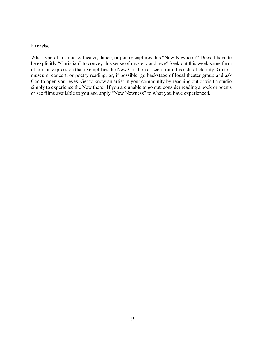#### **Exercise**

What type of art, music, theater, dance, or poetry captures this "New Newness?" Does it have to be explicitly "Christian" to convey this sense of mystery and awe? Seek out this week some form of artistic expression that exemplifies the New Creation as seen from this side of eternity. Go to a museum, concert, or poetry reading, or, if possible, go backstage of local theater group and ask God to open your eyes. Get to know an artist in your community by reaching out or visit a studio simply to experience the New there. If you are unable to go out, consider reading a book or poems or see films available to you and apply "New Newness" to what you have experienced.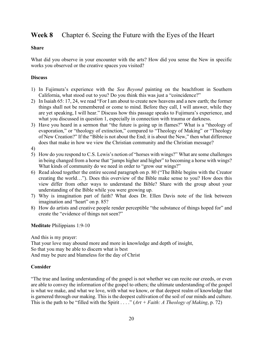# **Week 8** Chapter 6. Seeing the Future with the Eyes of the Heart

#### **Share**

What did you observe in your encounter with the arts? How did you sense the New in specific works you observed or the creative spaces you visited?

## **Discuss**

- 1) In Fujimura's experience with the *Sea Beyond* painting on the beachfront in Southern California, what stood out to you? Do you think this was just a "coincidence?"
- 2) In Isaiah 65: 17, 24, we read "For I am about to create new heavens and a new earth; the former things shall not be remembered or come to mind. Before they call, I will answer, while they are yet speaking, I will hear." Discuss how this passage speaks to Fujimura's experience, and what you discussed in question 1, especially in connection with trauma or darkness.
- 3) Have you heard in a sermon that "the future is going up in flames?" What is a "theology of evaporation," or "theology of extinction," compared to "Theology of Making" or "Theology of New Creation?" If the "Bible is not about the End; it is about the New," then what difference does that make in how we view the Christian community and the Christian message?
- 4)
- 5) How do you respond to C.S. Lewis's notion of "horses with wings?" What are some challenges in being changed from a horse that "jumps higher and higher" to becoming a horse with wings? What kinds of community do we need in order to "grow our wings?"
- 6) Read aloud together the entire second paragraph on p. 80 ("The Bible begins with the Creator creating the world…"). Does this overview of the Bible make sense to you? How does this view differ from other ways to understand the Bible? Share with the group about your understanding of the Bible while you were growing up.
- 7) Why is imagination part of faith? What does Dr. Ellen Davis note of the link between imagination and "heart" on p. 85?
- 8) How do artists and creative people render perceptible "the substance of things hoped for" and create the "evidence of things not seen?"

## **Meditate** Philippians 1:9-10

And this is my prayer:

That your love may abound more and more in knowledge and depth of insight, So that you may be able to discern what is best And may be pure and blameless for the day of Christ

# **Consider**

"The true and lasting understanding of the gospel is not whether we can recite our creeds, or even are able to convey the information of the gospel to others; the ultimate understanding of the gospel is what we make, and what we love, with what we know, or that deepest realm of knowledge that is garnered through our making. This is the deepest cultivation of the soil of our minds and culture. This is the path to be "filled with the Spirit . . . ."  $Art + Faith:$  *A Theology of Making*, p. 72)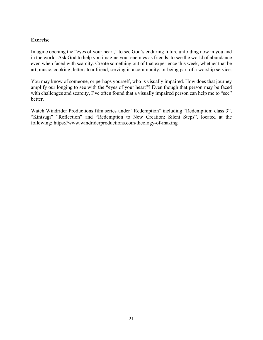## **Exercise**

Imagine opening the "eyes of your heart," to see God's enduring future unfolding now in you and in the world. Ask God to help you imagine your enemies as friends, to see the world of abundance even when faced with scarcity. Create something out of that experience this week, whether that be art, music, cooking, letters to a friend, serving in a community, or being part of a worship service.

You may know of someone, or perhaps yourself, who is visually impaired. How does that journey amplify our longing to see with the "eyes of your heart"? Even though that person may be faced with challenges and scarcity, I've often found that a visually impaired person can help me to "see" better.

Watch Windrider Productions film series under "Redemption" including "Redemption: class 3", "Kintsugi" "Reflection" and "Redemption to New Creation: Silent Steps", located at the following: https://www.windriderproductions.com/theology-of-making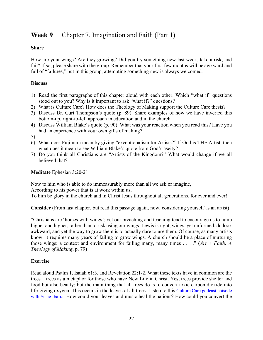# **Week 9** Chapter 7. Imagination and Faith (Part 1)

## **Share**

How are your wings? Are they growing? Did you try something new last week, take a risk, and fail? If so, please share with the group. Remember that your first few months will be awkward and full of "failures," but in this group, attempting something new is always welcomed.

# **Discuss**

- 1) Read the first paragraphs of this chapter aloud with each other. Which "what if" questions stood out to you? Why is it important to ask "what if?" questions?
- 2) What is Culture Care? How does the Theology of Making support the Culture Care thesis?
- 3) Discuss Dr. Curt Thompson's quote (p. 89). Share examples of how we have inverted this bottom-up, right-to-left approach in education and in the church.
- 4) Discuss William Blake's quote (p. 90). What was your reaction when you read this? Have you had an experience with your own gifts of making?

5)

- 6) What does Fujimura mean by giving "exceptionalism for Artists?" If God is THE Artist, then what does it mean to see William Blake's quote from God's aseity?
- 7) Do you think all Christians are "Artists of the Kingdom?" What would change if we all believed that?

# **Meditate** Ephesian 3:20-21

Now to him who is able to do immeasurably more than all we ask or imagine, According to his power that is at work within us,

To him be glory in the church and in Christ Jesus throughout all generations, for ever and ever!

**Consider** (From last chapter, but read this passage again, now, considering yourself as an artist)

"Christians are 'horses with wings'; yet our preaching and teaching tend to encourage us to jump higher and higher, rather than to risk using our wings. Lewis is right; wings, yet unformed, do look awkward, and yet the way to grow them is to actually dare to use them. Of course, as many artists know, it requires many years of failing to grow wings. A church should be a place of nurturing those wings: a context and environment for failing many, many times . . . ." (*Art + Faith: A Theology of Making*, p. 79)

# **Exercise**

Read aloud Psalm 1, Isaiah 61:3, and Revelation 22:1-2. What these texts have in common are the trees – trees as a metaphor for those who have New Life in Christ. Yes, trees provide shelter and food but also beauty; but the main thing that all trees do is to convert toxic carbon dioxide into life-giving oxygen. This occurs in the leaves of all trees. Listen to this Culture Care podcast episode with Susie Ibarra. How could your leaves and music heal the nations? How could you convert the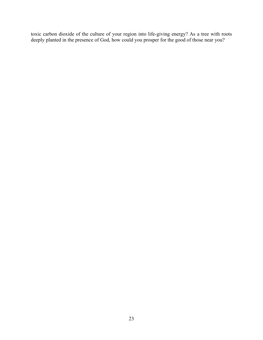toxic carbon dioxide of the culture of your region into life-giving energy? As a tree with roots deeply planted in the presence of God, how could you prosper for the good of those near you?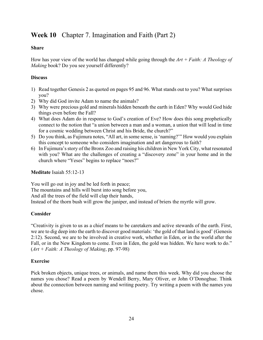# **Week 10** Chapter 7. Imagination and Faith (Part 2)

# **Share**

How has your view of the world has changed while going through the *Art + Faith: A Theology of Making* book? Do you see yourself differently?

# **Discuss**

- 1) Read together Genesis 2 as quoted on pages 95 and 96. What stands out to you? What surprises you?
- 2) Why did God invite Adam to name the animals?
- 3) Why were precious gold and minerals hidden beneath the earth in Eden? Why would God hide things even before the Fall?
- 4) What does Adam do in response to God's creation of Eve? How does this song prophetically connect to the notion that "a union between a man and a woman, a union that will lead in time for a cosmic wedding between Christ and his Bride, the church?"
- 5) Do you think, as Fujimura notes, "All art, in some sense, is'naming?'" How would you explain this concept to someone who considers imagination and art dangerous to faith?
- 6) In Fujimura'sstory of the Bronx Zoo and raising his children in New York City, what resonated with you? What are the challenges of creating a "discovery zone" in your home and in the church where "Yeses" begins to replace "noes?"

# **Meditate** Isaiah 55:12-13

You will go out in joy and be led forth in peace; The mountains and hills will burst into song before you, And all the trees of the field will clap their hands, Instead of the thorn bush will grow the juniper, and instead of briers the myrtle will grow.

# **Consider**

"Creativity is given to us as a chief means to be caretakers and active stewards of the earth. First, we are to dig deep into the earth to discover good materials: 'the gold of that land is good' (Genesis 2:12). Second, we are to be involved in creative work, whether in Eden, or in the world after the Fall, or in the New Kingdom to come. Even in Eden, the gold was hidden. We have work to do." (*Art + Faith: A Theology of Making*, pp. 97-98)

# **Exercise**

Pick broken objects, unique trees, or animals, and name them this week. Why did you choose the names you chose? Read a poem by Wendell Berry, Mary Oliver, or John O'Donoghue. Think about the connection between naming and writing poetry. Try writing a poem with the names you chose.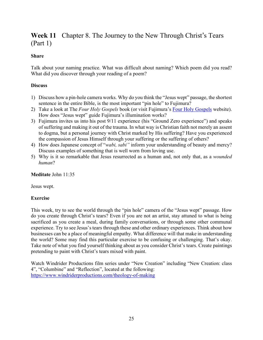# **Week 11** Chapter 8. The Journey to the New Through Christ's Tears (Part 1)

## **Share**

Talk about your naming practice. What was difficult about naming? Which poem did you read? What did you discover through your reading of a poem?

## **Discuss**

- 1) Discuss how a pin-hole camera works. Why do you think the "Jesus wept" passage, the shortest sentence in the entire Bible, is the most important "pin hole" to Fujimura?
- 2) Take a look at The *Four Holy Gospels* book (or visit Fujimura's Four Holy Gospels website). How does "Jesus wept" guide Fujimura's illumination works?
- 3) Fujimura invites us into his post 9/11 experience (his "Ground Zero experience") and speaks of suffering and making it out of the trauma. In what way is Christian faith not merely an assent to dogma, but a personal journey with Christ marked by His suffering? Have you experienced the compassion of Jesus Himself through your suffering or the suffering of others?
- 4) How does Japanese concept of "*wabi, sabi"* inform your understanding of beauty and mercy? Discuss examples of something that is well worn from loving use.
- 5) Why is it so remarkable that Jesus resurrected as a human and, not only that, as a *wounded human*?

## **Meditate** John 11:35

Jesus wept.

# **Exercise**

This week, try to see the world through the "pin hole" camera of the "Jesus wept" passage. How do you create through Christ's tears? Even if you are not an artist, stay attuned to what is being sacrificed as you create a meal, during family conversations, or through some other communal experience. Try to see Jesus's tears through these and other ordinary experiences. Think about how businesses can be a place of meaningful empathy. What difference will that make in understanding the world? Some may find this particular exercise to be confusing or challenging. That's okay. Take note of what you find yourself thinking about as you consider Christ's tears. Create paintings pretending to paint with Christ's tears mixed with paint.

Watch Windrider Productions film series under "New Creation" including "New Creation: class 4", "Columbine" and "Reflection", located at the following: https://www.windriderproductions.com/theology-of-making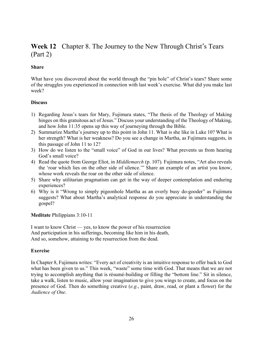# **Week 12** Chapter 8. The Journey to the New Through Christ's Tears (Part 2)

## **Share**

What have you discovered about the world through the "pin hole" of Christ's tears? Share some of the struggles you experienced in connection with last week's exercise. What did you make last week?

## **Discuss**

- 1) Regarding Jesus's tears for Mary, Fujimura states, "The thesis of the Theology of Making hinges on this gratuitous act of Jesus." Discuss your understanding of the Theology of Making, and how John 11:35 opens up this way of journeying through the Bible.
- 2) Summarize Martha's journey up to this point in John 11. What is she like in Luke 10? What is her strength? What is her weakness? Do you see a change in Martha, as Fujimura suggests, in this passage of John 11 to 12?
- 3) How do we listen to the "small voice" of God in our lives? What prevents us from hearing God's small voice?
- 4) Read the quote from George Eliot, in *Middlemarch* (p. 107)*.* Fujimura notes, "Art also reveals the 'roar which lies on the other side of silence.'" Share an example of an artist you know, whose work reveals the roar on the other side of silence.
- 5) Share why utilitarian pragmatism can get in the way of deeper contemplation and enduring experiences?
- 6) Why is it "Wrong to simply pigeonhole Martha as an overly busy do-gooder" as Fujimura suggests? What about Martha's analytical response do you appreciate in understanding the gospel?

**Meditate** Philippians 3:10-11

I want to know Christ — yes, to know the power of his resurrection And participation in his sufferings, becoming like him in his death, And so, somehow, attaining to the resurrection from the dead.

# **Exercise**

In Chapter 8, Fujimura writes: "Every act of creativity is an intuitive response to offer back to God what has been given to us." This week, "waste" some time with God. That means that we are not trying to accomplish anything that is résumé-building or filling the "bottom line." Sit in silence, take a walk, listen to music, allow your imagination to give you wings to create, and focus on the presence of God. Then do something creative (*e.g.*, paint, draw, read, or plant a flower) for the *Audience of One*.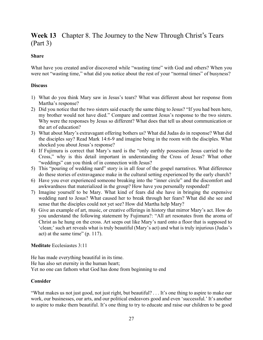# **Week 13** Chapter 8. The Journey to the New Through Christ's Tears (Part 3)

#### **Share**

What have you created and/or discovered while "wasting time" with God and others? When you were not "wasting time," what did you notice about the rest of your "normal times" of busyness?

#### **Discuss**

- 1) What do you think Mary saw in Jesus's tears? What was different about her response from Martha's response?
- 2) Did you notice that the two sisters said exactly the same thing to Jesus? "If you had been here, my brother would not have died." Compare and contrast Jesus's response to the two sisters. Why were the responses by Jesus so different? What does that tell us about communication or the art of education?
- 3) What about Mary's extravagant offering bothers us? What did Judas do in response? What did the disciples say? Read Mark 14:6-9 and imagine being in the room with the disciples. What shocked you about Jesus's response?
- 4) If Fujimura is correct that Mary's nard is the "only earthly possession Jesus carried to the Cross," why is this detail important in understanding the Cross of Jesus? What other "weddings" can you think of in connection with Jesus?
- 5) This "pouring of wedding nard" story is in all four of the gospel narratives. What difference do these stories of extravagance make in the cultural setting experienced by the early church?
- 6) Have you ever experienced someone breaking into the "inner circle" and the discomfort and awkwardness that materialized in the group? How have you personally responded?
- 7) Imagine yourself to be Mary. What kind of fears did she have in bringing the expensive wedding nard to Jesus? What caused her to break through her fears? What did she see and sense that the disciples could not yet see? How did Martha help Mary?
- 8) Give an example of art, music, or creative offerings in history that mirror Mary's act. How do you understand the following statement by Fujimura?: "All art resonates from the aroma of Christ as he hung on the cross. Art seeps out like Mary's nard onto a floor that is supposed to 'clean;' such art reveals what is truly beautiful (Mary's act) and what is truly injurious (Judas's act) at the same time" (p. 117).

## **Meditate** Ecclesiastes 3:11

He has made everything beautiful in its time. He has also set eternity in the human heart; Yet no one can fathom what God has done from beginning to end

## **Consider**

"What makes us not just good, not just right, but beautiful? . . . It's one thing to aspire to make our work, our businesses, our arts, and our political endeavors good and even 'successful.' It's another to aspire to make them beautiful. It's one thing to try to educate and raise our children to be good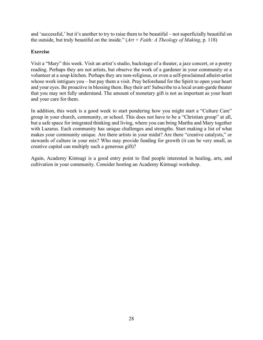and 'successful,' but it's another to try to raise them to be beautiful – not superficially beautiful on the outside, but truly beautiful on the inside."  $(Art + Faith: A Theology of Making, p. 118)$ 

## **Exercise**

Visit a "Mary" this week. Visit an artist's studio, backstage of a theater, a jazz concert, or a poetry reading. Perhaps they are not artists, but observe the work of a gardener in your community or a volunteer at a soup kitchen. Perhaps they are non-religious, or even a self-proclaimed atheist-artist whose work intrigues you – but pay them a visit. Pray beforehand for the Spirit to open your heart and your eyes. Be proactive in blessing them. Buy their art! Subscribe to a local avant-garde theater that you may not fully understand. The amount of monetary gift is not as important as your heart and your care for them.

In addition, this week is a good week to start pondering how you might start a "Culture Care" group in your church, community, or school. This does not have to be a "Christian group" at all, but a safe space for integrated thinking and living, where you can bring Martha and Mary together with Lazarus. Each community has unique challenges and strengths. Start making a list of what makes your community unique. Are there artists in your midst? Are there "creative catalysts," or stewards of culture in your mix? Who may provide funding for growth (it can be very small, as creative capital can multiply such a generous gift)?

Again, Academy Kintsugi is a good entry point to find people interested in healing, arts, and cultivation in your community. Consider hosting an Academy Kintsugi workshop.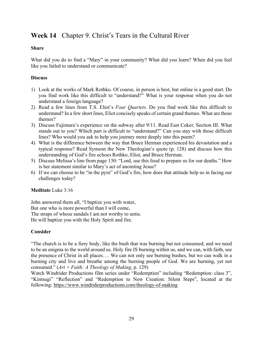# **Week 14** Chapter 9. Christ's Tears in the Cultural River

## **Share**

What did you do to find a "Mary" in your community? What did you learn? When did you feel like you failed to understand or communicate?

# **Discuss**

- 1) Look at the works of Mark Rothko. Of course, in person is best, but online is a good start. Do you find work like this difficult to "understand?" What is your response when you do not understand a foreign language?
- 2) Read a few lines from T.S. Eliot's *Four Quartets.* Do you find work like this difficult to understand? In a few short lines, Eliot concisely speaks of certain grand themes. What are those themes?
- 3) Discuss Fujimura's experience on the subway after 9/11. Read East Coker, Section III. What stands out to you? Which part is difficult to "understand?" Can you stay with those difficult lines? Who would you ask to help you journey more deeply into this poem?
- 4) What is the difference between the way that Bruce Herman experienced his devastation and a typical response? Read Symeon the New Theologian's quote (p. 128) and discuss how this understanding of God's fire echoes Rothko, Eliot, and Bruce Herman.
- 5) Discuss Melissa's line from page 130: "Lord, use this food to prepare us for our deaths." How is her statement similar to Mary's act of anointing Jesus?
- 6) If we can choose to be "in the pyre" of God's fire, how does that attitude help us in facing our challenges today?

## **Meditate** Luke 3:16

John answered them all, "I baptize you with water, But one who is more powerful than I will come, The straps of whose sandals I am not worthy to untie. He will baptize you with the Holy Spirit and fire.

# **Consider**

"The church is to be a fiery body, like the bush that was burning but not consumed; and we need to be an enigma to the world around us. Holy fire IS burning within us, and we can, with faith, see the presence of Christ in all places…. We can not only see burning bushes, but we can walk in a burning city and live and breathe among the burning people of God. We are burning, yet not consumed."  $(Art + Faith: A Theology of Making, p. 129)$ 

Watch Windrider Productions film series under "Redemption" including "Redemption: class 3", "Kintsugi" "Reflection" and "Redemption to New Creation: Silent Steps", located at the following: https://www.windriderproductions.com/theology-of-making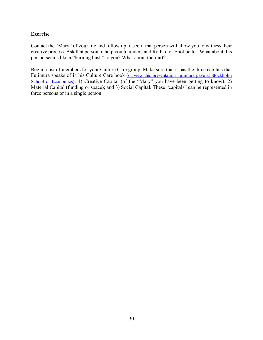## **Exercise**

Contact the "Mary" of your life and follow up to see if that person will allow you to witness their creative process. Ask that person to help you to understand Rothko or Eliot better. What about this person seems like a "burning bush" to you? What about their art?

Begin a list of members for your Culture Care group. Make sure that it has the three capitals that Fujimura speaks of in his Culture Care book (or view this presentation Fujimura gave at Stockholm School of Economics): 1) Creative Capital (of the "Mary" you have been getting to know); 2) Material Capital (funding or space); and 3) Social Capital. These "capitals" can be represented in three persons or in a single person.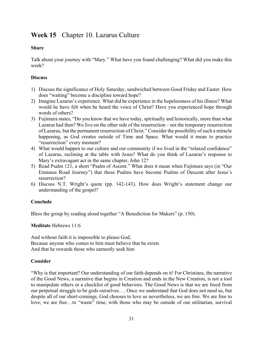# **Week 15** Chapter 10. Lazarus Culture

## **Share**

Talk about your journey with "Mary." What have you found challenging? What did you make this week?

## **Discuss**

- 1) Discuss the significance of Holy Saturday, sandwiched between Good Friday and Easter. How does "waiting" become a discipline toward hope?
- 2) Imagine Lazarus's experience. What did he experience in the hopelessness of hisillness? What would he have felt when he heard the voice of Christ? Have you experienced hope through words of others?
- 3) Fujimura states, "Do you know that we have today, spiritually and historically, more than what Lazarus had then? We live on the other side of the resurrection – not the temporary resurrection of Lazarus, but the permanent resurrection of Christ." Consider the possibility of such a miracle happening, as God creates outside of Time and Space. What would it mean to practice "resurrection" every moment?
- 4) What would happen to our culture and our community if we lived in the "relaxed confidence" of Lazarus, reclining at the table with Jesus? What do you think of Lazarus's response to Mary's extravagant act in the same chapter, John 12?
- 5) Read Psalm 121, a short "Psalm of Ascent." What does it mean when Fujimura says (in "Our Emmaus Road Journey") that these Psalms have become Psalms of Descent after Jesus's resurrection?
- 6) Discuss N.T. Wright's quote (pp. 142-143). How does Wright's statement change our understanding of the gospel?

# **Conclude**

Bless the group by reading aloud together "A Benediction for Makers" (p. 150).

**Meditate** Hebrews 11:6

And without faith it is impossible to please God, Because anyone who comes to him must believe that he exists And that he rewards those who earnestly seek him

## **Consider**

"Why is that important? Our understanding of our faith depends on it! For Christians, the narrative of the Good News, a narrative that begins in Creation and ends in the New Creation, is not a tool to manipulate others or a checklist of good behaviors. The Good News is that we are freed from our perpetual struggle to be gods ourselves…. Once we understand that God does not need us, but despite all of our short-comings, God chooses to love us nevertheless, we are free. We are free to love; we are free...to "waste" time, with those who may be outside of our utilitarian, survival